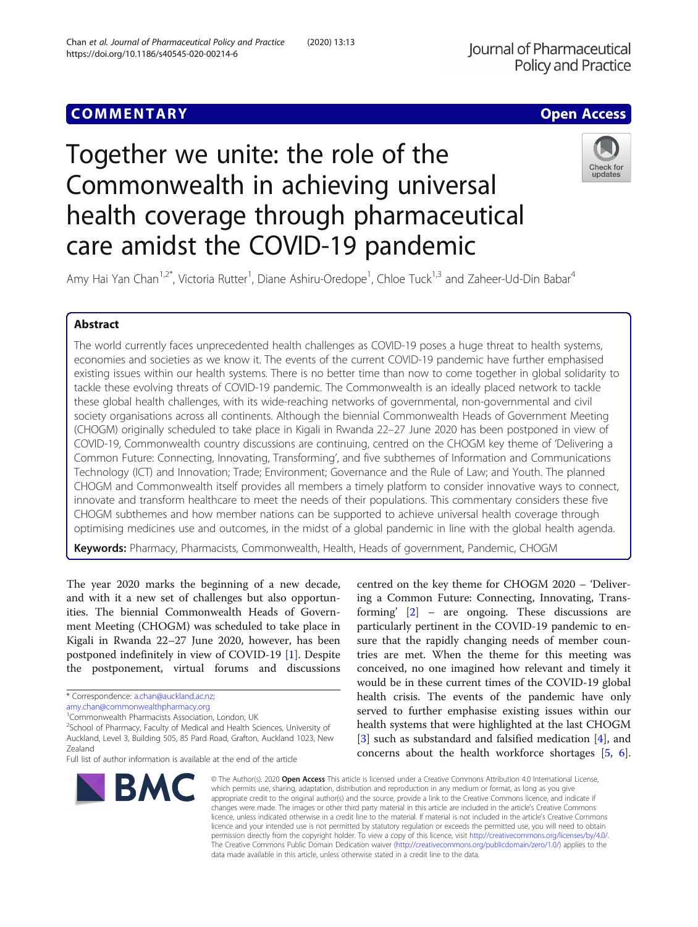# **COMMENTARY COMMENTARY COMMENTARY**

# Together we unite: the role of the Commonwealth in achieving universal health coverage through pharmaceutical care amidst the COVID-19 pandemic



Amy Hai Yan Chan<sup>1,2\*</sup>, Victoria Rutter<sup>1</sup>, Diane Ashiru-Oredope<sup>1</sup>, Chloe Tuck<sup>1,3</sup> and Zaheer-Ud-Din Babar<sup>4</sup>

# Abstract

The world currently faces unprecedented health challenges as COVID-19 poses a huge threat to health systems, economies and societies as we know it. The events of the current COVID-19 pandemic have further emphasised existing issues within our health systems. There is no better time than now to come together in global solidarity to tackle these evolving threats of COVID-19 pandemic. The Commonwealth is an ideally placed network to tackle these global health challenges, with its wide-reaching networks of governmental, non-governmental and civil society organisations across all continents. Although the biennial Commonwealth Heads of Government Meeting (CHOGM) originally scheduled to take place in Kigali in Rwanda 22–27 June 2020 has been postponed in view of COVID-19, Commonwealth country discussions are continuing, centred on the CHOGM key theme of 'Delivering a Common Future: Connecting, Innovating, Transforming', and five subthemes of Information and Communications Technology (ICT) and Innovation; Trade; Environment; Governance and the Rule of Law; and Youth. The planned CHOGM and Commonwealth itself provides all members a timely platform to consider innovative ways to connect, innovate and transform healthcare to meet the needs of their populations. This commentary considers these five CHOGM subthemes and how member nations can be supported to achieve universal health coverage through optimising medicines use and outcomes, in the midst of a global pandemic in line with the global health agenda.

Keywords: Pharmacy, Pharmacists, Commonwealth, Health, Heads of government, Pandemic, CHOGM

The year 2020 marks the beginning of a new decade, and with it a new set of challenges but also opportunities. The biennial Commonwealth Heads of Government Meeting (CHOGM) was scheduled to take place in Kigali in Rwanda 22–27 June 2020, however, has been postponed indefinitely in view of COVID-19 [\[1](#page-5-0)]. Despite the postponement, virtual forums and discussions

Full list of author information is available at the end of the article



centred on the key theme for CHOGM 2020 – 'Delivering a Common Future: Connecting, Innovating, Transforming' [[2\]](#page-5-0) – are ongoing. These discussions are particularly pertinent in the COVID-19 pandemic to ensure that the rapidly changing needs of member countries are met. When the theme for this meeting was conceived, no one imagined how relevant and timely it would be in these current times of the COVID-19 global health crisis. The events of the pandemic have only served to further emphasise existing issues within our health systems that were highlighted at the last CHOGM [[3\]](#page-5-0) such as substandard and falsified medication [\[4\]](#page-5-0), and concerns about the health workforce shortages [\[5](#page-5-0), [6](#page-5-0)].

© The Author(s), 2020 **Open Access** This article is licensed under a Creative Commons Attribution 4.0 International License, which permits use, sharing, adaptation, distribution and reproduction in any medium or format, as long as you give appropriate credit to the original author(s) and the source, provide a link to the Creative Commons licence, and indicate if changes were made. The images or other third party material in this article are included in the article's Creative Commons licence, unless indicated otherwise in a credit line to the material. If material is not included in the article's Creative Commons licence and your intended use is not permitted by statutory regulation or exceeds the permitted use, you will need to obtain permission directly from the copyright holder. To view a copy of this licence, visit [http://creativecommons.org/licenses/by/4.0/.](http://creativecommons.org/licenses/by/4.0/) The Creative Commons Public Domain Dedication waiver [\(http://creativecommons.org/publicdomain/zero/1.0/](http://creativecommons.org/publicdomain/zero/1.0/)) applies to the data made available in this article, unless otherwise stated in a credit line to the data.

<sup>\*</sup> Correspondence: [a.chan@auckland.ac.nz;](mailto:a.chan@auckland.ac.nz)

[amy.chan@commonwealthpharmacy.org](mailto:amy.chan@commonwealthpharmacy.org)

<sup>&</sup>lt;sup>1</sup> Commonwealth Pharmacists Association, London, UK

<sup>&</sup>lt;sup>2</sup>School of Pharmacy, Faculty of Medical and Health Sciences, University of Auckland, Level 3, Building 505, 85 Pard Road, Grafton, Auckland 1023, New Zealand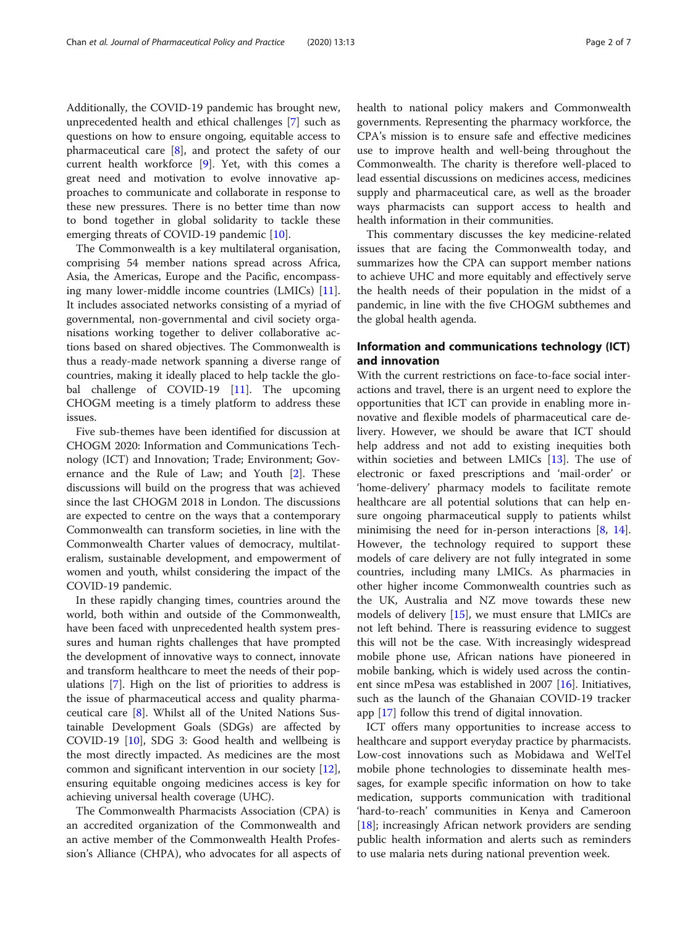Additionally, the COVID-19 pandemic has brought new, unprecedented health and ethical challenges [\[7\]](#page-5-0) such as questions on how to ensure ongoing, equitable access to pharmaceutical care  $[8]$  $[8]$ , and protect the safety of our current health workforce [\[9](#page-5-0)]. Yet, with this comes a great need and motivation to evolve innovative approaches to communicate and collaborate in response to these new pressures. There is no better time than now to bond together in global solidarity to tackle these emerging threats of COVID-19 pandemic [\[10\]](#page-5-0).

The Commonwealth is a key multilateral organisation, comprising 54 member nations spread across Africa, Asia, the Americas, Europe and the Pacific, encompassing many lower-middle income countries (LMICs) [\[11](#page-5-0)]. It includes associated networks consisting of a myriad of governmental, non-governmental and civil society organisations working together to deliver collaborative actions based on shared objectives. The Commonwealth is thus a ready-made network spanning a diverse range of countries, making it ideally placed to help tackle the glo-bal challenge of COVID-19 [[11\]](#page-5-0). The upcoming CHOGM meeting is a timely platform to address these issues.

Five sub-themes have been identified for discussion at CHOGM 2020: Information and Communications Technology (ICT) and Innovation; Trade; Environment; Governance and the Rule of Law; and Youth [\[2](#page-5-0)]. These discussions will build on the progress that was achieved since the last CHOGM 2018 in London. The discussions are expected to centre on the ways that a contemporary Commonwealth can transform societies, in line with the Commonwealth Charter values of democracy, multilateralism, sustainable development, and empowerment of women and youth, whilst considering the impact of the COVID-19 pandemic.

In these rapidly changing times, countries around the world, both within and outside of the Commonwealth, have been faced with unprecedented health system pressures and human rights challenges that have prompted the development of innovative ways to connect, innovate and transform healthcare to meet the needs of their populations [\[7](#page-5-0)]. High on the list of priorities to address is the issue of pharmaceutical access and quality pharmaceutical care [\[8](#page-5-0)]. Whilst all of the United Nations Sustainable Development Goals (SDGs) are affected by COVID-19 [\[10](#page-5-0)], SDG 3: Good health and wellbeing is the most directly impacted. As medicines are the most common and significant intervention in our society [\[12](#page-5-0)], ensuring equitable ongoing medicines access is key for achieving universal health coverage (UHC).

The Commonwealth Pharmacists Association (CPA) is an accredited organization of the Commonwealth and an active member of the Commonwealth Health Profession's Alliance (CHPA), who advocates for all aspects of health to national policy makers and Commonwealth governments. Representing the pharmacy workforce, the CPA's mission is to ensure safe and effective medicines use to improve health and well-being throughout the Commonwealth. The charity is therefore well-placed to lead essential discussions on medicines access, medicines supply and pharmaceutical care, as well as the broader ways pharmacists can support access to health and health information in their communities.

This commentary discusses the key medicine-related issues that are facing the Commonwealth today, and summarizes how the CPA can support member nations to achieve UHC and more equitably and effectively serve the health needs of their population in the midst of a pandemic, in line with the five CHOGM subthemes and the global health agenda.

# Information and communications technology (ICT) and innovation

With the current restrictions on face-to-face social interactions and travel, there is an urgent need to explore the opportunities that ICT can provide in enabling more innovative and flexible models of pharmaceutical care delivery. However, we should be aware that ICT should help address and not add to existing inequities both within societies and between LMICs [\[13](#page-5-0)]. The use of electronic or faxed prescriptions and 'mail-order' or 'home-delivery' pharmacy models to facilitate remote healthcare are all potential solutions that can help ensure ongoing pharmaceutical supply to patients whilst minimising the need for in-person interactions [[8,](#page-5-0) [14](#page-6-0)]. However, the technology required to support these models of care delivery are not fully integrated in some countries, including many LMICs. As pharmacies in other higher income Commonwealth countries such as the UK, Australia and NZ move towards these new models of delivery  $[15]$ , we must ensure that LMICs are not left behind. There is reassuring evidence to suggest this will not be the case. With increasingly widespread mobile phone use, African nations have pioneered in mobile banking, which is widely used across the continent since mPesa was established in 2007 [\[16](#page-6-0)]. Initiatives, such as the launch of the Ghanaian COVID-19 tracker app [[17](#page-6-0)] follow this trend of digital innovation.

ICT offers many opportunities to increase access to healthcare and support everyday practice by pharmacists. Low-cost innovations such as Mobidawa and WelTel mobile phone technologies to disseminate health messages, for example specific information on how to take medication, supports communication with traditional 'hard-to-reach' communities in Kenya and Cameroon [[18\]](#page-6-0); increasingly African network providers are sending public health information and alerts such as reminders to use malaria nets during national prevention week.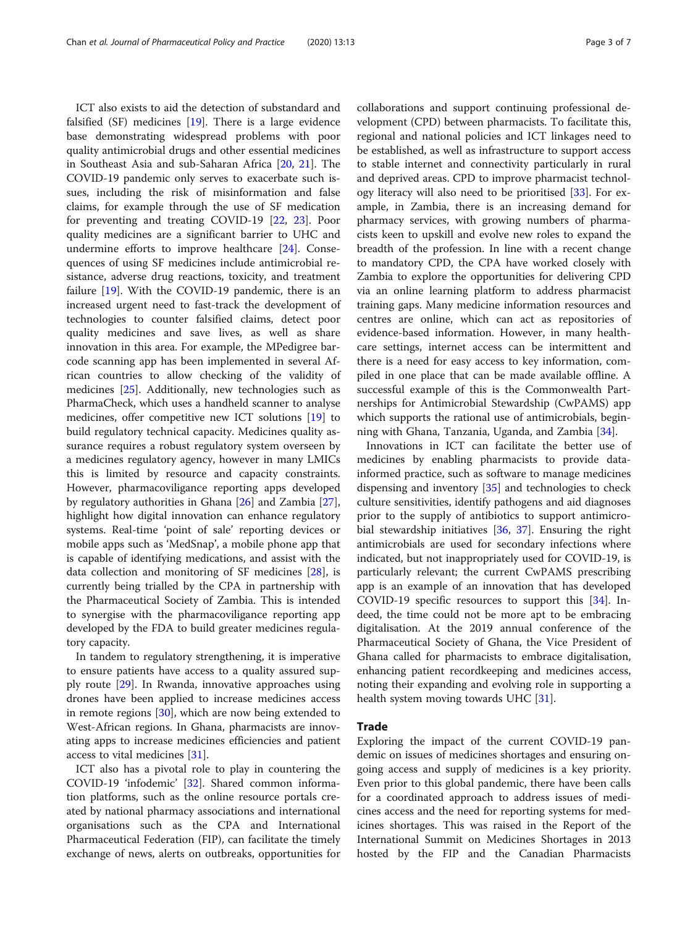ICT also exists to aid the detection of substandard and falsified (SF) medicines [\[19](#page-6-0)]. There is a large evidence base demonstrating widespread problems with poor quality antimicrobial drugs and other essential medicines in Southeast Asia and sub-Saharan Africa [\[20](#page-6-0), [21\]](#page-6-0). The COVID-19 pandemic only serves to exacerbate such issues, including the risk of misinformation and false claims, for example through the use of SF medication for preventing and treating COVID-19 [\[22](#page-6-0), [23](#page-6-0)]. Poor quality medicines are a significant barrier to UHC and undermine efforts to improve healthcare [\[24\]](#page-6-0). Consequences of using SF medicines include antimicrobial resistance, adverse drug reactions, toxicity, and treatment failure [[19](#page-6-0)]. With the COVID-19 pandemic, there is an increased urgent need to fast-track the development of technologies to counter falsified claims, detect poor quality medicines and save lives, as well as share innovation in this area. For example, the MPedigree barcode scanning app has been implemented in several African countries to allow checking of the validity of medicines [\[25](#page-6-0)]. Additionally, new technologies such as PharmaCheck, which uses a handheld scanner to analyse medicines, offer competitive new ICT solutions [\[19\]](#page-6-0) to build regulatory technical capacity. Medicines quality assurance requires a robust regulatory system overseen by a medicines regulatory agency, however in many LMICs this is limited by resource and capacity constraints. However, pharmacoviligance reporting apps developed by regulatory authorities in Ghana [\[26](#page-6-0)] and Zambia [\[27](#page-6-0)], highlight how digital innovation can enhance regulatory systems. Real-time 'point of sale' reporting devices or mobile apps such as 'MedSnap', a mobile phone app that is capable of identifying medications, and assist with the data collection and monitoring of SF medicines [\[28\]](#page-6-0), is currently being trialled by the CPA in partnership with the Pharmaceutical Society of Zambia. This is intended to synergise with the pharmacoviligance reporting app developed by the FDA to build greater medicines regulatory capacity.

In tandem to regulatory strengthening, it is imperative to ensure patients have access to a quality assured supply route [[29\]](#page-6-0). In Rwanda, innovative approaches using drones have been applied to increase medicines access in remote regions  $[30]$  $[30]$ , which are now being extended to West-African regions. In Ghana, pharmacists are innovating apps to increase medicines efficiencies and patient access to vital medicines [\[31\]](#page-6-0).

ICT also has a pivotal role to play in countering the COVID-19 'infodemic' [[32\]](#page-6-0). Shared common information platforms, such as the online resource portals created by national pharmacy associations and international organisations such as the CPA and International Pharmaceutical Federation (FIP), can facilitate the timely exchange of news, alerts on outbreaks, opportunities for collaborations and support continuing professional development (CPD) between pharmacists. To facilitate this, regional and national policies and ICT linkages need to be established, as well as infrastructure to support access to stable internet and connectivity particularly in rural and deprived areas. CPD to improve pharmacist technology literacy will also need to be prioritised [[33](#page-6-0)]. For example, in Zambia, there is an increasing demand for pharmacy services, with growing numbers of pharmacists keen to upskill and evolve new roles to expand the breadth of the profession. In line with a recent change to mandatory CPD, the CPA have worked closely with Zambia to explore the opportunities for delivering CPD via an online learning platform to address pharmacist training gaps. Many medicine information resources and centres are online, which can act as repositories of evidence-based information. However, in many healthcare settings, internet access can be intermittent and there is a need for easy access to key information, compiled in one place that can be made available offline. A successful example of this is the Commonwealth Partnerships for Antimicrobial Stewardship (CwPAMS) app which supports the rational use of antimicrobials, beginning with Ghana, Tanzania, Uganda, and Zambia [\[34](#page-6-0)].

Innovations in ICT can facilitate the better use of medicines by enabling pharmacists to provide datainformed practice, such as software to manage medicines dispensing and inventory [[35](#page-6-0)] and technologies to check culture sensitivities, identify pathogens and aid diagnoses prior to the supply of antibiotics to support antimicrobial stewardship initiatives [[36,](#page-6-0) [37](#page-6-0)]. Ensuring the right antimicrobials are used for secondary infections where indicated, but not inappropriately used for COVID-19, is particularly relevant; the current CwPAMS prescribing app is an example of an innovation that has developed COVID-19 specific resources to support this [\[34\]](#page-6-0). Indeed, the time could not be more apt to be embracing digitalisation. At the 2019 annual conference of the Pharmaceutical Society of Ghana, the Vice President of Ghana called for pharmacists to embrace digitalisation, enhancing patient recordkeeping and medicines access, noting their expanding and evolving role in supporting a health system moving towards UHC [\[31](#page-6-0)].

### Trade

Exploring the impact of the current COVID-19 pandemic on issues of medicines shortages and ensuring ongoing access and supply of medicines is a key priority. Even prior to this global pandemic, there have been calls for a coordinated approach to address issues of medicines access and the need for reporting systems for medicines shortages. This was raised in the Report of the International Summit on Medicines Shortages in 2013 hosted by the FIP and the Canadian Pharmacists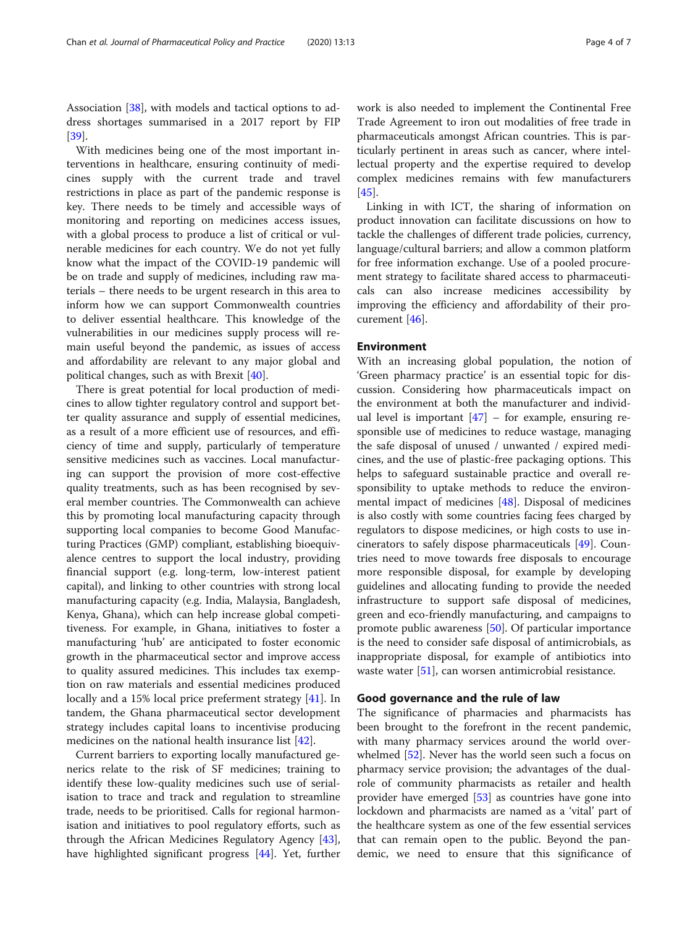Association [\[38](#page-6-0)], with models and tactical options to address shortages summarised in a 2017 report by FIP [[39\]](#page-6-0).

With medicines being one of the most important interventions in healthcare, ensuring continuity of medicines supply with the current trade and travel restrictions in place as part of the pandemic response is key. There needs to be timely and accessible ways of monitoring and reporting on medicines access issues, with a global process to produce a list of critical or vulnerable medicines for each country. We do not yet fully know what the impact of the COVID-19 pandemic will be on trade and supply of medicines, including raw materials – there needs to be urgent research in this area to inform how we can support Commonwealth countries to deliver essential healthcare. This knowledge of the vulnerabilities in our medicines supply process will remain useful beyond the pandemic, as issues of access and affordability are relevant to any major global and political changes, such as with Brexit [[40\]](#page-6-0).

There is great potential for local production of medicines to allow tighter regulatory control and support better quality assurance and supply of essential medicines, as a result of a more efficient use of resources, and efficiency of time and supply, particularly of temperature sensitive medicines such as vaccines. Local manufacturing can support the provision of more cost-effective quality treatments, such as has been recognised by several member countries. The Commonwealth can achieve this by promoting local manufacturing capacity through supporting local companies to become Good Manufacturing Practices (GMP) compliant, establishing bioequivalence centres to support the local industry, providing financial support (e.g. long-term, low-interest patient capital), and linking to other countries with strong local manufacturing capacity (e.g. India, Malaysia, Bangladesh, Kenya, Ghana), which can help increase global competitiveness. For example, in Ghana, initiatives to foster a manufacturing 'hub' are anticipated to foster economic growth in the pharmaceutical sector and improve access to quality assured medicines. This includes tax exemption on raw materials and essential medicines produced locally and a 15% local price preferment strategy [[41](#page-6-0)]. In tandem, the Ghana pharmaceutical sector development strategy includes capital loans to incentivise producing medicines on the national health insurance list [\[42](#page-6-0)].

Current barriers to exporting locally manufactured generics relate to the risk of SF medicines; training to identify these low-quality medicines such use of serialisation to trace and track and regulation to streamline trade, needs to be prioritised. Calls for regional harmonisation and initiatives to pool regulatory efforts, such as through the African Medicines Regulatory Agency [\[43](#page-6-0)], have highlighted significant progress [[44\]](#page-6-0). Yet, further work is also needed to implement the Continental Free Trade Agreement to iron out modalities of free trade in pharmaceuticals amongst African countries. This is particularly pertinent in areas such as cancer, where intellectual property and the expertise required to develop complex medicines remains with few manufacturers [[45\]](#page-6-0).

Linking in with ICT, the sharing of information on product innovation can facilitate discussions on how to tackle the challenges of different trade policies, currency, language/cultural barriers; and allow a common platform for free information exchange. Use of a pooled procurement strategy to facilitate shared access to pharmaceuticals can also increase medicines accessibility by improving the efficiency and affordability of their procurement [[46\]](#page-6-0).

### Environment

With an increasing global population, the notion of 'Green pharmacy practice' is an essential topic for discussion. Considering how pharmaceuticals impact on the environment at both the manufacturer and individual level is important  $[47]$  $[47]$  – for example, ensuring responsible use of medicines to reduce wastage, managing the safe disposal of unused / unwanted / expired medicines, and the use of plastic-free packaging options. This helps to safeguard sustainable practice and overall responsibility to uptake methods to reduce the environmental impact of medicines [\[48](#page-6-0)]. Disposal of medicines is also costly with some countries facing fees charged by regulators to dispose medicines, or high costs to use incinerators to safely dispose pharmaceuticals [[49\]](#page-6-0). Countries need to move towards free disposals to encourage more responsible disposal, for example by developing guidelines and allocating funding to provide the needed infrastructure to support safe disposal of medicines, green and eco-friendly manufacturing, and campaigns to promote public awareness [[50\]](#page-6-0). Of particular importance is the need to consider safe disposal of antimicrobials, as inappropriate disposal, for example of antibiotics into waste water [[51\]](#page-6-0), can worsen antimicrobial resistance.

#### Good governance and the rule of law

The significance of pharmacies and pharmacists has been brought to the forefront in the recent pandemic, with many pharmacy services around the world overwhelmed [[52\]](#page-6-0). Never has the world seen such a focus on pharmacy service provision; the advantages of the dualrole of community pharmacists as retailer and health provider have emerged [[53\]](#page-6-0) as countries have gone into lockdown and pharmacists are named as a 'vital' part of the healthcare system as one of the few essential services that can remain open to the public. Beyond the pandemic, we need to ensure that this significance of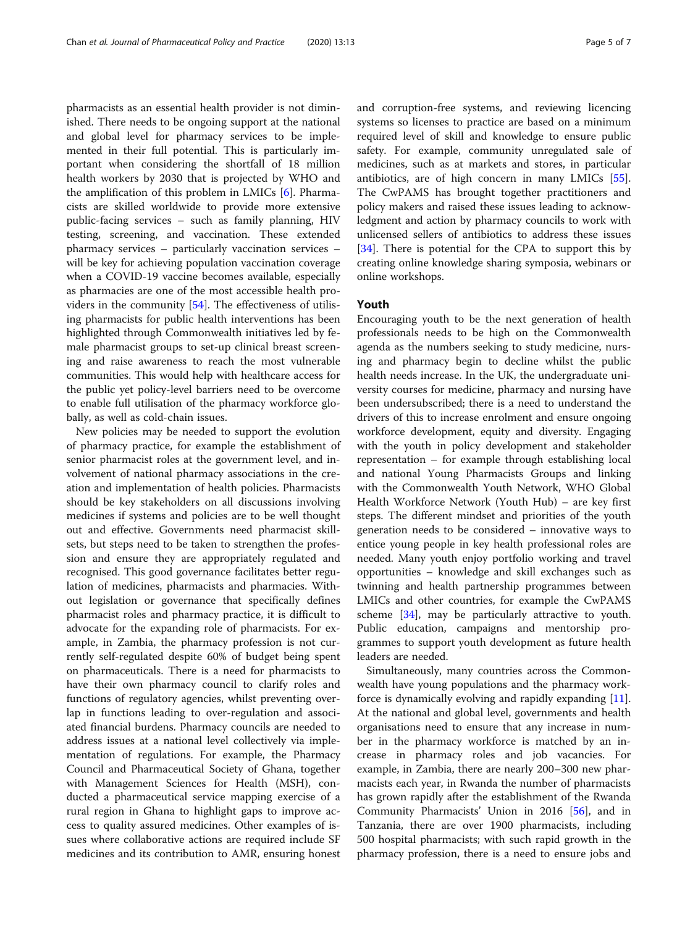pharmacists as an essential health provider is not diminished. There needs to be ongoing support at the national and global level for pharmacy services to be implemented in their full potential. This is particularly important when considering the shortfall of 18 million health workers by 2030 that is projected by WHO and the amplification of this problem in LMICs [\[6\]](#page-5-0). Pharmacists are skilled worldwide to provide more extensive public-facing services – such as family planning, HIV testing, screening, and vaccination. These extended pharmacy services – particularly vaccination services – will be key for achieving population vaccination coverage when a COVID-19 vaccine becomes available, especially as pharmacies are one of the most accessible health providers in the community [\[54\]](#page-6-0). The effectiveness of utilising pharmacists for public health interventions has been highlighted through Commonwealth initiatives led by female pharmacist groups to set-up clinical breast screening and raise awareness to reach the most vulnerable communities. This would help with healthcare access for the public yet policy-level barriers need to be overcome to enable full utilisation of the pharmacy workforce globally, as well as cold-chain issues.

New policies may be needed to support the evolution of pharmacy practice, for example the establishment of senior pharmacist roles at the government level, and involvement of national pharmacy associations in the creation and implementation of health policies. Pharmacists should be key stakeholders on all discussions involving medicines if systems and policies are to be well thought out and effective. Governments need pharmacist skillsets, but steps need to be taken to strengthen the profession and ensure they are appropriately regulated and recognised. This good governance facilitates better regulation of medicines, pharmacists and pharmacies. Without legislation or governance that specifically defines pharmacist roles and pharmacy practice, it is difficult to advocate for the expanding role of pharmacists. For example, in Zambia, the pharmacy profession is not currently self-regulated despite 60% of budget being spent on pharmaceuticals. There is a need for pharmacists to have their own pharmacy council to clarify roles and functions of regulatory agencies, whilst preventing overlap in functions leading to over-regulation and associated financial burdens. Pharmacy councils are needed to address issues at a national level collectively via implementation of regulations. For example, the Pharmacy Council and Pharmaceutical Society of Ghana, together with Management Sciences for Health (MSH), conducted a pharmaceutical service mapping exercise of a rural region in Ghana to highlight gaps to improve access to quality assured medicines. Other examples of issues where collaborative actions are required include SF medicines and its contribution to AMR, ensuring honest and corruption-free systems, and reviewing licencing systems so licenses to practice are based on a minimum required level of skill and knowledge to ensure public safety. For example, community unregulated sale of medicines, such as at markets and stores, in particular antibiotics, are of high concern in many LMICs [\[55](#page-6-0)]. The CwPAMS has brought together practitioners and policy makers and raised these issues leading to acknowledgment and action by pharmacy councils to work with unlicensed sellers of antibiotics to address these issues [[34\]](#page-6-0). There is potential for the CPA to support this by creating online knowledge sharing symposia, webinars or online workshops.

# Youth

Encouraging youth to be the next generation of health professionals needs to be high on the Commonwealth agenda as the numbers seeking to study medicine, nursing and pharmacy begin to decline whilst the public health needs increase. In the UK, the undergraduate university courses for medicine, pharmacy and nursing have been undersubscribed; there is a need to understand the drivers of this to increase enrolment and ensure ongoing workforce development, equity and diversity. Engaging with the youth in policy development and stakeholder representation – for example through establishing local and national Young Pharmacists Groups and linking with the Commonwealth Youth Network, WHO Global Health Workforce Network (Youth Hub) – are key first steps. The different mindset and priorities of the youth generation needs to be considered – innovative ways to entice young people in key health professional roles are needed. Many youth enjoy portfolio working and travel opportunities – knowledge and skill exchanges such as twinning and health partnership programmes between LMICs and other countries, for example the CwPAMS scheme [\[34\]](#page-6-0), may be particularly attractive to youth. Public education, campaigns and mentorship programmes to support youth development as future health leaders are needed.

Simultaneously, many countries across the Commonwealth have young populations and the pharmacy workforce is dynamically evolving and rapidly expanding [\[11](#page-5-0)]. At the national and global level, governments and health organisations need to ensure that any increase in number in the pharmacy workforce is matched by an increase in pharmacy roles and job vacancies. For example, in Zambia, there are nearly 200–300 new pharmacists each year, in Rwanda the number of pharmacists has grown rapidly after the establishment of the Rwanda Community Pharmacists' Union in 2016 [\[56](#page-6-0)], and in Tanzania, there are over 1900 pharmacists, including 500 hospital pharmacists; with such rapid growth in the pharmacy profession, there is a need to ensure jobs and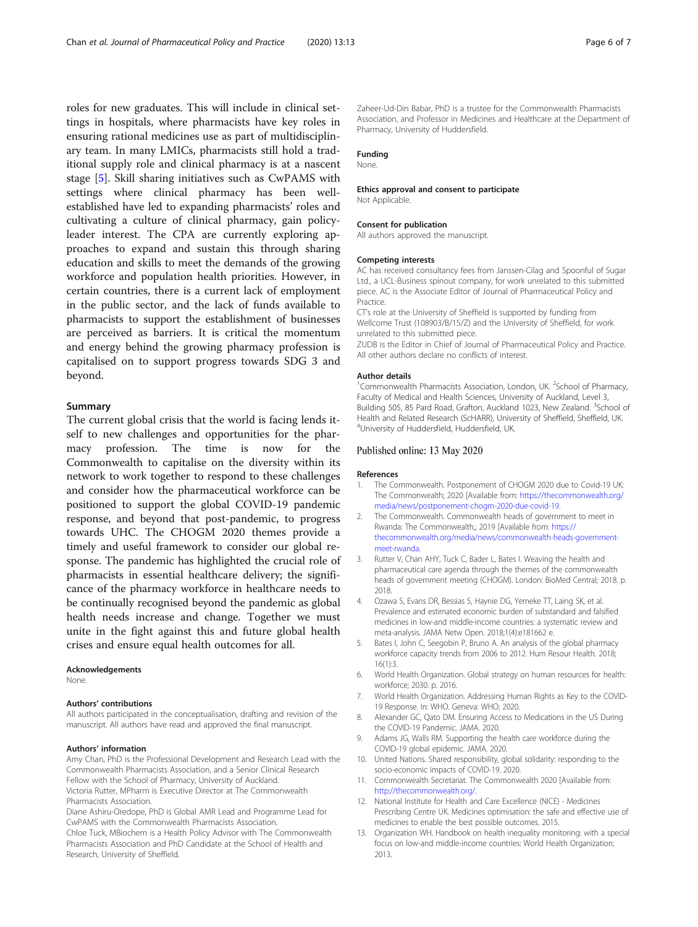<span id="page-5-0"></span>roles for new graduates. This will include in clinical settings in hospitals, where pharmacists have key roles in ensuring rational medicines use as part of multidisciplinary team. In many LMICs, pharmacists still hold a traditional supply role and clinical pharmacy is at a nascent stage [5]. Skill sharing initiatives such as CwPAMS with settings where clinical pharmacy has been wellestablished have led to expanding pharmacists' roles and cultivating a culture of clinical pharmacy, gain policyleader interest. The CPA are currently exploring approaches to expand and sustain this through sharing education and skills to meet the demands of the growing workforce and population health priorities. However, in certain countries, there is a current lack of employment in the public sector, and the lack of funds available to pharmacists to support the establishment of businesses are perceived as barriers. It is critical the momentum and energy behind the growing pharmacy profession is capitalised on to support progress towards SDG 3 and beyond.

#### Summary

The current global crisis that the world is facing lends itself to new challenges and opportunities for the pharmacy profession. The time is now for the Commonwealth to capitalise on the diversity within its network to work together to respond to these challenges and consider how the pharmaceutical workforce can be positioned to support the global COVID-19 pandemic response, and beyond that post-pandemic, to progress towards UHC. The CHOGM 2020 themes provide a timely and useful framework to consider our global response. The pandemic has highlighted the crucial role of pharmacists in essential healthcare delivery; the significance of the pharmacy workforce in healthcare needs to be continually recognised beyond the pandemic as global health needs increase and change. Together we must unite in the fight against this and future global health crises and ensure equal health outcomes for all.

#### Acknowledgements

None.

#### Authors' contributions

All authors participated in the conceptualisation, drafting and revision of the manuscript. All authors have read and approved the final manuscript.

#### Authors' information

Amy Chan, PhD is the Professional Development and Research Lead with the Commonwealth Pharmacists Association, and a Senior Clinical Research Fellow with the School of Pharmacy, University of Auckland. Victoria Rutter, MPharm is Executive Director at The Commonwealth Pharmacists Association.

Diane Ashiru-Oredope, PhD is Global AMR Lead and Programme Lead for CwPAMS with the Commonwealth Pharmacists Association. Chloe Tuck, MBiochem is a Health Policy Advisor with The Commonwealth

Pharmacists Association and PhD Candidate at the School of Health and Research, University of Sheffield.

Zaheer-Ud-Din Babar, PhD is a trustee for the Commonwealth Pharmacists Association, and Professor in Medicines and Healthcare at the Department of Pharmacy, University of Huddersfield.

#### Funding

#### None.

# Ethics approval and consent to participate

Not Applicable.

#### Consent for publication

All authors approved the manuscript.

#### Competing interests

AC has received consultancy fees from Janssen-Cilag and Spoonful of Sugar Ltd., a UCL-Business spinout company, for work unrelated to this submitted piece. AC is the Associate Editor of Journal of Pharmaceutical Policy and Practice.

CT's role at the University of Sheffield is supported by funding from Wellcome Trust (108903/B/15/Z) and the University of Sheffield, for work unrelated to this submitted piece.

ZUDB is the Editor in Chief of Journal of Pharmaceutical Policy and Practice. All other authors declare no conflicts of interest.

#### Author details

<sup>1</sup> Commonwealth Pharmacists Association, London, UK.<sup>2</sup> School of Pharmacy Faculty of Medical and Health Sciences, University of Auckland, Level 3, Building 505, 85 Pard Road, Grafton, Auckland 1023, New Zealand. <sup>3</sup>School of Health and Related Research (ScHARR), University of Sheffield, Sheffield, UK. 4 University of Huddersfield, Huddersfield, UK.

#### Published online: 13 May 2020

#### References

- 1. The Commonwealth. Postponement of CHOGM 2020 due to Covid-19 UK: The Commonwealth; 2020 [Available from: [https://thecommonwealth.org/](https://thecommonwealth.org/media/news/postponement-chogm-2020-due-covid-19) [media/news/postponement-chogm-2020-due-covid-19](https://thecommonwealth.org/media/news/postponement-chogm-2020-due-covid-19).
- 2. The Commonwealth. Commonwealth heads of government to meet in Rwanda: The Commonwealth,; 2019 [Available from: [https://](https://thecommonwealth.org/media/news/commonwealth-heads-government-meet-rwanda) [thecommonwealth.org/media/news/commonwealth-heads-government](https://thecommonwealth.org/media/news/commonwealth-heads-government-meet-rwanda)[meet-rwanda.](https://thecommonwealth.org/media/news/commonwealth-heads-government-meet-rwanda)
- 3. Rutter V, Chan AHY, Tuck C, Bader L, Bates I. Weaving the health and pharmaceutical care agenda through the themes of the commonwealth heads of government meeting (CHOGM). London: BioMed Central; 2018. p. 2018.
- 4. Ozawa S, Evans DR, Bessias S, Haynie DG, Yemeke TT, Laing SK, et al. Prevalence and estimated economic burden of substandard and falsified medicines in low-and middle-income countries: a systematic review and meta-analysis. JAMA Netw Open. 2018;1(4):e181662 e.
- 5. Bates I, John C, Seegobin P, Bruno A. An analysis of the global pharmacy workforce capacity trends from 2006 to 2012. Hum Resour Health. 2018; 16(1):3.
- 6. World Health Organization. Global strategy on human resources for health: workforce; 2030. p. 2016.
- 7. World Health Organization. Addressing Human Rights as Key to the COVID-19 Response. In: WHO. Geneva: WHO; 2020.
- 8. Alexander GC, Qato DM. Ensuring Access to Medications in the US During the COVID-19 Pandemic. JAMA. 2020.
- 9. Adams JG, Walls RM. Supporting the health care workforce during the COVID-19 global epidemic. JAMA. 2020.
- 10. United Nations. Shared responsibility, global solidarity: responding to the socio-economic impacts of COVID-19. 2020.
- 11. Commonwealth Secretariat. The Commonwealth 2020 [Available from: [http://thecommonwealth.org/.](http://thecommonwealth.org/)
- 12. National Institute for Health and Care Excellence (NICE) Medicines Prescribing Centre UK. Medicines optimisation: the safe and effective use of medicines to enable the best possible outcomes. 2015.
- 13. Organization WH. Handbook on health inequality monitoring: with a special focus on low-and middle-income countries: World Health Organization; 2013.